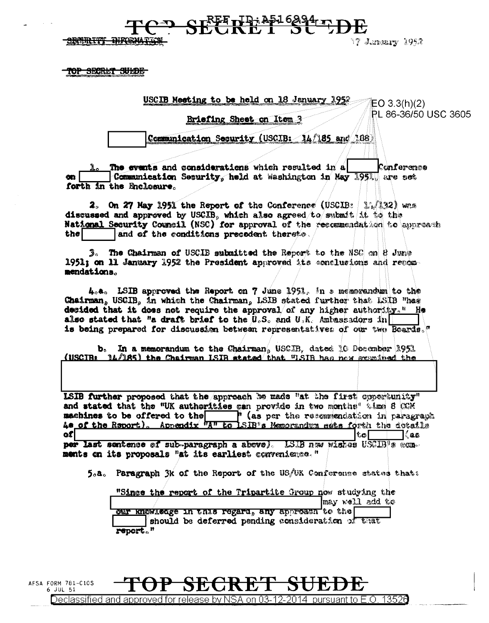$F_{\text{eff}}^{\text{REF}}$   $F_{\text{eff}}^{\text{I}}$   $F_{\text{eff}}^{\text{A}}$   $F_{\text{eff}}^{\text{A}}$ 

SECTION DIRECTOR

17 J.maary 1952

3605

<del>TOP SECRLT SULDE</del>

6 JUL 51

| USCIB Meeting to be held on 18 January<br>1052<br>$\sqrt[\infty]{E}$ C 3.3(h)(2) |
|----------------------------------------------------------------------------------|
| PL 86-36/50 USC<br>Briefing Sheet on                                             |
| <u>ication Security (USCIB: 14/185</u>                                           |

The events and considerations which resulted in a Conference Communication Security, held at Washington in May 1951, are set  $\mathbf{m}$ forth in the Enclosure.

2. On 27 May 1951 the Report of the Conference (USCIB:  $1.132$  wrs discussed and approved by USCIB, which also agreed to submit it to the National Security Council (NSC) for approval of the recommendation to approach the and of the conditions precedent thereto.

The Chairman of USCIB submitted the Report to the NSC on 8 June 1951; on 11 January 1952 the President approved its conclusions and recommendations.

4.a. LSIB approved the Report on 7 June 1951, in a memorandum to the Chairman, USCIB, in which the Chairman, LSIB stated further that LSIB "has decided that it does not require the approval of any higher authority." He also stated that "a draft brief to the  $0.5$ , and  $0.5$ . Ambassadors in is being prepared for discussion between representatives of our two Boards."

In a memorandum to the Chairman, USCIB. dated 10 December 1951 (USCIBE 14/185) the Chairman ISIB stated that "ISIB has now examined the

LSIB further proposed that the approach be made "at the first concretunity" and stated that the "UK authorities can provide in two months" time 8 COM machines to be offered to the " (as per the recommendation in paragraph 4. of the Report). Appendix "A" to LSIB"s Memorandum sets forth the dotails ofi tol l∖es.

per last sentence of sub-paragraph a above). LSB naw wiskes USCIB's conments on its proposals "at its earliest convenience."

5.a. Paragraph 3k of the Report of the US/UK Conference states that:

| "Since the report of the Tripartite Group now studying the                                            |                 |
|-------------------------------------------------------------------------------------------------------|-----------------|
|                                                                                                       | may well add to |
| cur knowledge in this regard, any approach to the<br>should be deferred pending consideration of that |                 |
| report."                                                                                              |                 |

2014

pursuant to E.O. 13526

AFSA FORM 781-C10S

Declassified and approved for release by NSA on 03-12-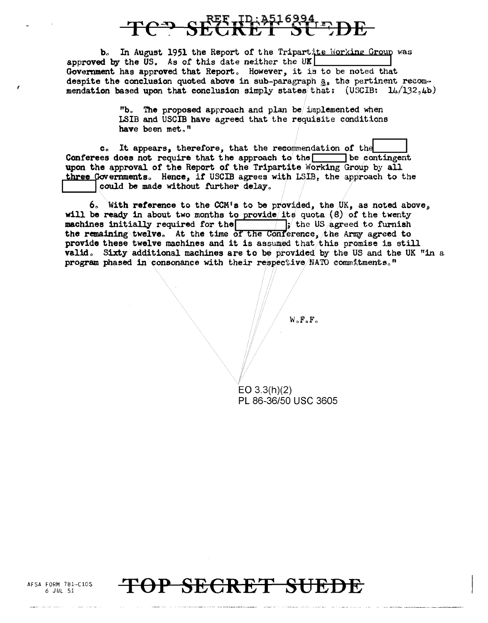## $R$ FF<sub>I</sub>D; 3516994, r, DE

b. In August 1951 the Report of the Tripartite Working Group was approved by the US. As of this date neither the UK Government has approved that Report. However, it is to be noted that despite the conclusion quoted above in sub-paragraph a, the pertinent recommendation based upon that conclusion simply states that:  $(USCIB: 11/132, 4b)$ 

> "b. The proposed approach and plan be implemented when LSIB and USCIB have agreed that the requisite conditions have been met."

c. It appears, therefore, that the recommendation of the Conferees does not require that the approach to the  $\Box$  be contingent upon the approval of the Report of the Tripartite Working Group by all three Governments. Hence, if USCIB agrees with LSIB, the approach to the could be made without further delay.

6. With reference to the CCM's to be provided, the UK, as noted above, will be ready in about two months to provide its quota  $(8)$  of the twenty machines initially required for the  $\frac{1}{\sqrt{2}}$  the US agreed to furnish the remaining twelve. At the time of the Conference, the Army agreed to provide these twelve machines and it is assumed that this promise is still valid. Sixty additional machines are to be provided by the US and the UK "in a program phased in consonance with their respective NATO commitments."

 $W \circ F \circ F \circ$ 

 $EO$  3.3(h)(2) PL 86-36/50 USC 3605



AFSA FORM 781-C10S 6 JUL 51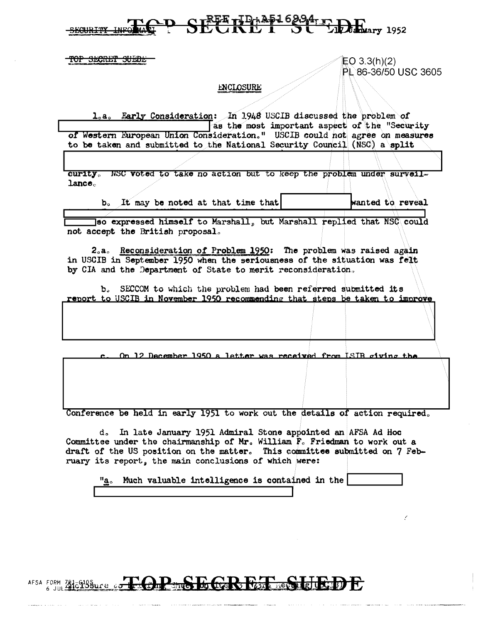### SECRET 19: 2516294-1- DE

TOP SECRET SUEDE

 $EO 3.3(h)(2)$ PL 86-36/50 USC 3605

#### ENCLOSURE

1.a. Early Consideration: In 1948 USCIB discussed the problem of as the most important aspect of the "Security" of Western European Union Consideration." USCIB could not agree on measures to be taken and submitted to the National Security Council (NSC) a split

curity. NSC voted to take no action but to keep the problem under surveil $l$ ance $<sub>o</sub>$ </sub>

b. It may be noted at that time that

wanted to reveal

so expressed himself to Marshall, but Marshall replied that NSC could not accept the British proposal.

2.a. Reconsideration of Problem 1950: The problem was raised again in USCIB in September 1950 when the seriousness of the situation was felt by CIA and the Department of State to merit reconsideration.

b. SECCOM to which the problem had been referred submitted its report to USCIB in November 1950 recommending that steps be taken to improve

On 12 December 1950 a letter was received from ISIB siving the

Conference be held in early 1951 to work out the details of action required.

d. In late January 1951 Admiral Stone appointed an AFSA Ad Hoc Committee under the chairmanship of Mr. William F. Friedman to work out a draft of the US position on the matter. This committee submitted on 7 February its report, the main conclusions of which were:

Much valuable intelligence is contained in the "a。

### AFSA FORM ZHESHSBUCE OF COPER FOR THE STRIKE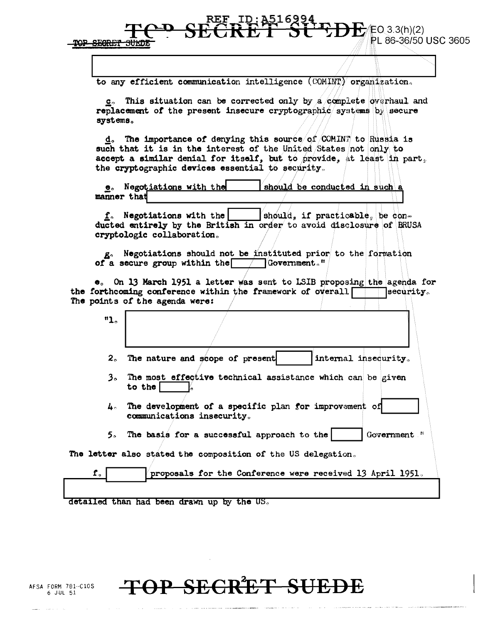**POP SECRET** 

to any efficient communication intelligence (COMINT) organization.

 $EQ$  3.3(h)(2)

PL 86-36/50 USC 3605

c. This situation can be corrected only by a complete overhaul and replacement of the present insecure cryptographic systems by secure systems.

The importance of denying this source of COMINT to Russia is d。 such that it is in the interest of the United States not only to accept a similar denial for itself, but to provide, at least in part, the cryptographic devices essential to security.

**e.** Negotiations with the should be conducted in such a manner that

 $f<sub>o</sub>$  Negotiations with the  $\int$ should, if practicable, be conducted entirely by the British in order to avoid disclosure of BRUSA cryptologic collaboration.

g. Negotiations should not be instituted prior to the formation of a secure group within the Government."

e. On 13 March 1951 a letter was sent to LSIB proposing the agenda for the forthcoming conference within the framework of overall ecurity. The points of the agenda were:

| "1。         |                                                                                        |
|-------------|----------------------------------------------------------------------------------------|
|             | 2. The nature and scope of present<br>internal insecurity.                             |
| $3^{\circ}$ | The most effective technical assistance which can be given<br>to the                   |
|             | 4. The development of a specific plan for improvement of<br>communications insecurity. |
|             | 5. The basis for a successful approach to the<br>Government "                          |
|             | letter also stated the composition of the US delegation.                               |
| ${\bf f}$   | proposals for the Conference were received 13 April 1951.                              |

detailed than had been drawn up by the US.

AFSA FORM 781--C10S 6 JUL 51

The

### <del>OP SECRET SUEDE</del>